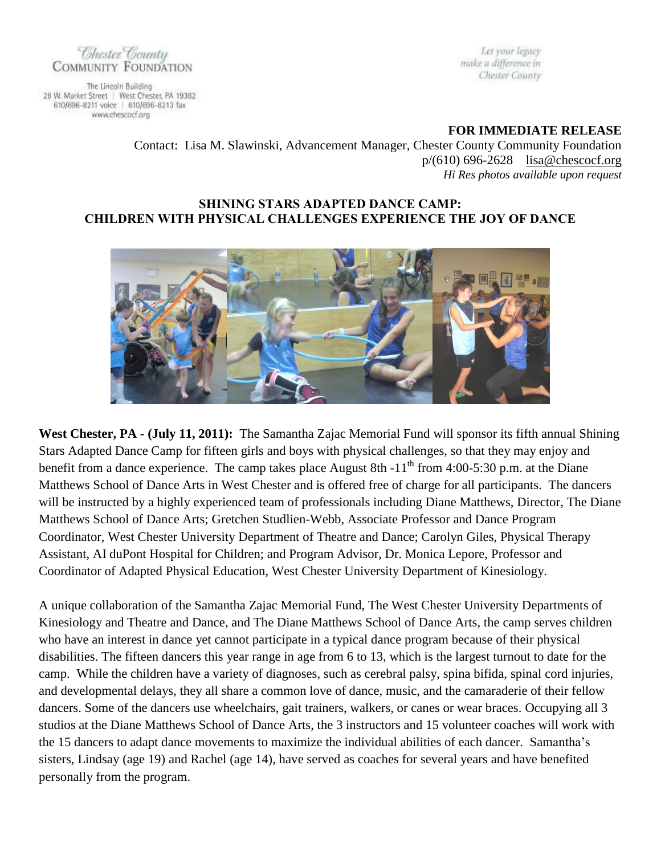

The Lincoln Building 28 W. Market Street | West Chester, PA 19382 610/696-8211 voice | 610/696-8213 fax www.chescocf.org

Let your legacy make a difference in Chester County

**FOR IMMEDIATE RELEASE**

Contact: Lisa M. Slawinski, Advancement Manager, Chester County Community Foundation p/(610) 696-2628 [lisa@chescocf.org](mailto:lisa@chescocf.org) *Hi Res photos available upon request*

## **SHINING STARS ADAPTED DANCE CAMP: CHILDREN WITH PHYSICAL CHALLENGES EXPERIENCE THE JOY OF DANCE**



**West Chester, PA - (July 11, 2011):** The Samantha Zajac Memorial Fund will sponsor its fifth annual Shining Stars Adapted Dance Camp for fifteen girls and boys with physical challenges, so that they may enjoy and benefit from a dance experience. The camp takes place August 8th -11<sup>th</sup> from 4:00-5:30 p.m. at the Diane Matthews School of Dance Arts in West Chester and is offered free of charge for all participants. The dancers will be instructed by a highly experienced team of professionals including Diane Matthews, Director, The Diane Matthews School of Dance Arts; Gretchen Studlien-Webb, Associate Professor and Dance Program Coordinator, West Chester University Department of Theatre and Dance; Carolyn Giles, Physical Therapy Assistant, AI duPont Hospital for Children; and Program Advisor, Dr. Monica Lepore, Professor and Coordinator of Adapted Physical Education, West Chester University Department of Kinesiology.

A unique collaboration of the Samantha Zajac Memorial Fund, The West Chester University Departments of Kinesiology and Theatre and Dance, and The Diane Matthews School of Dance Arts, the camp serves children who have an interest in dance yet cannot participate in a typical dance program because of their physical disabilities. The fifteen dancers this year range in age from 6 to 13, which is the largest turnout to date for the camp. While the children have a variety of diagnoses, such as cerebral palsy, spina bifida, spinal cord injuries, and developmental delays, they all share a common love of dance, music, and the camaraderie of their fellow dancers. Some of the dancers use wheelchairs, gait trainers, walkers, or canes or wear braces. Occupying all 3 studios at the Diane Matthews School of Dance Arts, the 3 instructors and 15 volunteer coaches will work with the 15 dancers to adapt dance movements to maximize the individual abilities of each dancer. Samantha's sisters, Lindsay (age 19) and Rachel (age 14), have served as coaches for several years and have benefited personally from the program.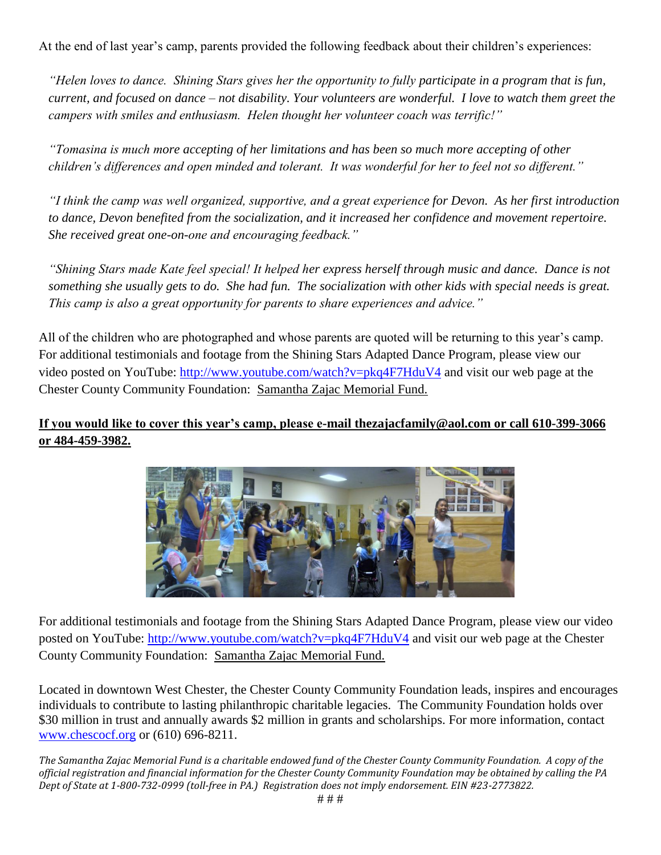At the end of last year's camp, parents provided the following feedback about their children's experiences:

*"Helen loves to dance. Shining Stars gives her the opportunity to fully participate in a program that is fun, current, and focused on dance – not disability. Your volunteers are wonderful. I love to watch them greet the campers with smiles and enthusiasm. Helen thought her volunteer coach was terrific!"*

*"Tomasina is much more accepting of her limitations and has been so much more accepting of other children's differences and open minded and tolerant. It was wonderful for her to feel not so different."*

*"I think the camp was well organized, supportive, and a great experience for Devon. As her first introduction to dance, Devon benefited from the socialization, and it increased her confidence and movement repertoire. She received great one-on-one and encouraging feedback."*

*"Shining Stars made Kate feel special! It helped her express herself through music and dance. Dance is not something she usually gets to do. She had fun. The socialization with other kids with special needs is great. This camp is also a great opportunity for parents to share experiences and advice."*

All of the children who are photographed and whose parents are quoted will be returning to this year's camp. For additional testimonials and footage from the Shining Stars Adapted Dance Program, please view our video posted on YouTube:<http://www.youtube.com/watch?v=pkq4F7HduV4> and visit our web page at the Chester County Community Foundation: [Samantha Zajac](http://www.chescocf.org/Funds/Fund%20purpose/zajac_sammy_new.htm) Memorial Fund.

## **If you would like to cover this year's camp, please e-mail thezajacfamily@aol.com or call 610-399-3066 or 484-459-3982.**



For additional testimonials and footage from the Shining Stars Adapted Dance Program, please view our video posted on YouTube:<http://www.youtube.com/watch?v=pkq4F7HduV4> and visit our web page at the Chester County Community Foundation: [Samantha Zajac](http://www.chescocf.org/Funds/Fund%20purpose/zajac_sammy_new.htm) Memorial Fund.

Located in downtown West Chester, the Chester County Community Foundation leads, inspires and encourages individuals to contribute to lasting philanthropic charitable legacies. The Community Foundation holds over \$30 million in trust and annually awards \$2 million in grants and scholarships. For more information, contact [www.chescocf.org](http://www.chescocf.org/) or (610) 696-8211.

*The Samantha Zajac Memorial Fund is a charitable endowed fund of the Chester County Community Foundation. A copy of the official registration and financial information for the Chester County Community Foundation may be obtained by calling the PA Dept of State at 1-800-732-0999 (toll-free in PA.) Registration does not imply endorsement. EIN #23-2773822.*